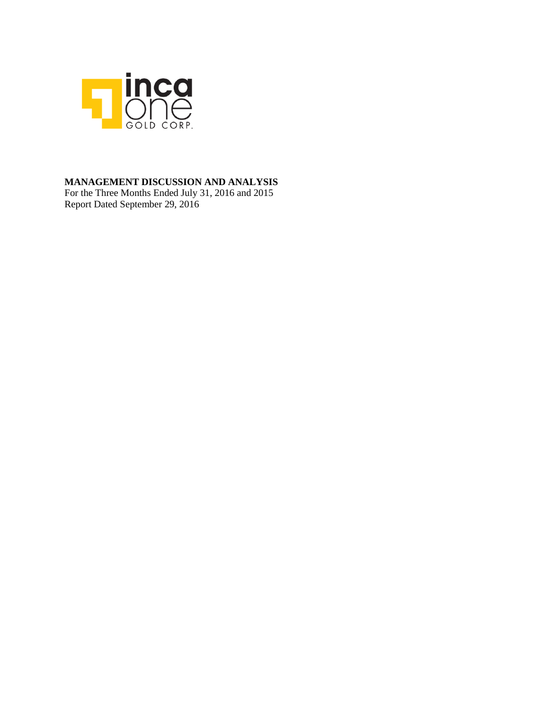

### **MANAGEMENT DISCUSSION AND ANALYSIS**

For the Three Months Ended July 31, 2016 and 2015 Report Dated September 29, 2016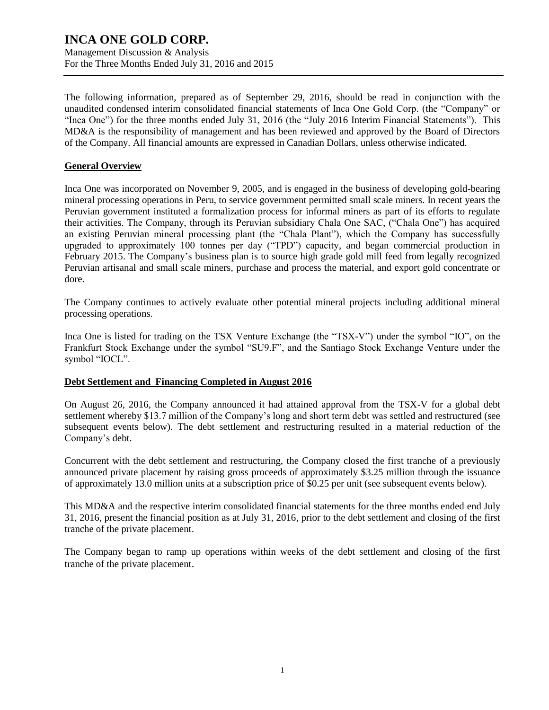Management Discussion & Analysis For the Three Months Ended July 31, 2016 and 2015

The following information, prepared as of September 29, 2016, should be read in conjunction with the unaudited condensed interim consolidated financial statements of Inca One Gold Corp. (the "Company" or "Inca One") for the three months ended July 31, 2016 (the "July 2016 Interim Financial Statements"). This MD&A is the responsibility of management and has been reviewed and approved by the Board of Directors of the Company. All financial amounts are expressed in Canadian Dollars, unless otherwise indicated.

#### **General Overview**

Inca One was incorporated on November 9, 2005, and is engaged in the business of developing gold-bearing mineral processing operations in Peru, to service government permitted small scale miners. In recent years the Peruvian government instituted a formalization process for informal miners as part of its efforts to regulate their activities. The Company, through its Peruvian subsidiary Chala One SAC, ("Chala One") has acquired an existing Peruvian mineral processing plant (the "Chala Plant"), which the Company has successfully upgraded to approximately 100 tonnes per day ("TPD") capacity, and began commercial production in February 2015. The Company's business plan is to source high grade gold mill feed from legally recognized Peruvian artisanal and small scale miners, purchase and process the material, and export gold concentrate or dore.

The Company continues to actively evaluate other potential mineral projects including additional mineral processing operations.

Inca One is listed for trading on the TSX Venture Exchange (the "TSX-V") under the symbol "IO", on the Frankfurt Stock Exchange under the symbol "SU9.F", and the Santiago Stock Exchange Venture under the symbol "IOCL".

#### **Debt Settlement and Financing Completed in August 2016**

On August 26, 2016, the Company announced it had attained approval from the TSX-V for a global debt settlement whereby \$13.7 million of the Company's long and short term debt was settled and restructured (see subsequent events below). The debt settlement and restructuring resulted in a material reduction of the Company's debt.

Concurrent with the debt settlement and restructuring, the Company closed the first tranche of a previously announced private placement by raising gross proceeds of approximately \$3.25 million through the issuance of approximately 13.0 million units at a subscription price of \$0.25 per unit (see subsequent events below).

This MD&A and the respective interim consolidated financial statements for the three months ended end July 31, 2016, present the financial position as at July 31, 2016, prior to the debt settlement and closing of the first tranche of the private placement.

The Company began to ramp up operations within weeks of the debt settlement and closing of the first tranche of the private placement.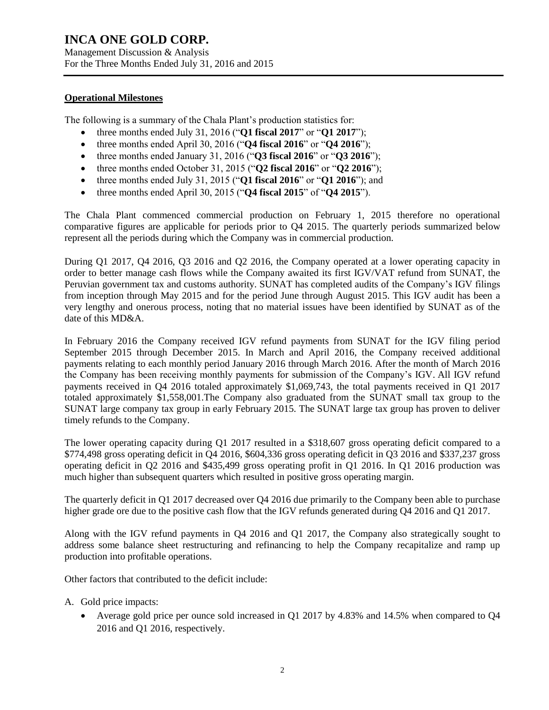Management Discussion & Analysis For the Three Months Ended July 31, 2016 and 2015

#### **Operational Milestones**

The following is a summary of the Chala Plant's production statistics for:

- three months ended July 31, 2016 ("**Q1 fiscal 2017**" or "**Q1 2017**");
- three months ended April 30, 2016 ("**Q4 fiscal 2016**" or "**Q4 2016**");
- three months ended January 31, 2016 ("**Q3 fiscal 2016**" or "**Q3 2016**");
- three months ended October 31, 2015 ("**Q2 fiscal 2016**" or "**Q2 2016**");
- three months ended July 31, 2015 ("**Q1 fiscal 2016**" or "**Q1 2016**"); and
- three months ended April 30, 2015 ("**Q4 fiscal 2015**" of "**Q4 2015**").

The Chala Plant commenced commercial production on February 1, 2015 therefore no operational comparative figures are applicable for periods prior to Q4 2015. The quarterly periods summarized below represent all the periods during which the Company was in commercial production.

During Q1 2017, Q4 2016, Q3 2016 and Q2 2016, the Company operated at a lower operating capacity in order to better manage cash flows while the Company awaited its first IGV/VAT refund from SUNAT, the Peruvian government tax and customs authority. SUNAT has completed audits of the Company's IGV filings from inception through May 2015 and for the period June through August 2015. This IGV audit has been a very lengthy and onerous process, noting that no material issues have been identified by SUNAT as of the date of this MD&A.

In February 2016 the Company received IGV refund payments from SUNAT for the IGV filing period September 2015 through December 2015. In March and April 2016, the Company received additional payments relating to each monthly period January 2016 through March 2016. After the month of March 2016 the Company has been receiving monthly payments for submission of the Company's IGV. All IGV refund payments received in Q4 2016 totaled approximately \$1,069,743, the total payments received in Q1 2017 totaled approximately \$1,558,001.The Company also graduated from the SUNAT small tax group to the SUNAT large company tax group in early February 2015. The SUNAT large tax group has proven to deliver timely refunds to the Company.

The lower operating capacity during Q1 2017 resulted in a \$318,607 gross operating deficit compared to a \$774,498 gross operating deficit in Q4 2016, \$604,336 gross operating deficit in Q3 2016 and \$337,237 gross operating deficit in Q2 2016 and \$435,499 gross operating profit in Q1 2016. In Q1 2016 production was much higher than subsequent quarters which resulted in positive gross operating margin.

The quarterly deficit in Q1 2017 decreased over Q4 2016 due primarily to the Company been able to purchase higher grade ore due to the positive cash flow that the IGV refunds generated during Q4 2016 and Q1 2017.

Along with the IGV refund payments in Q4 2016 and Q1 2017, the Company also strategically sought to address some balance sheet restructuring and refinancing to help the Company recapitalize and ramp up production into profitable operations.

Other factors that contributed to the deficit include:

- A. Gold price impacts:
	- Average gold price per ounce sold increased in Q1 2017 by 4.83% and 14.5% when compared to Q4 2016 and Q1 2016, respectively.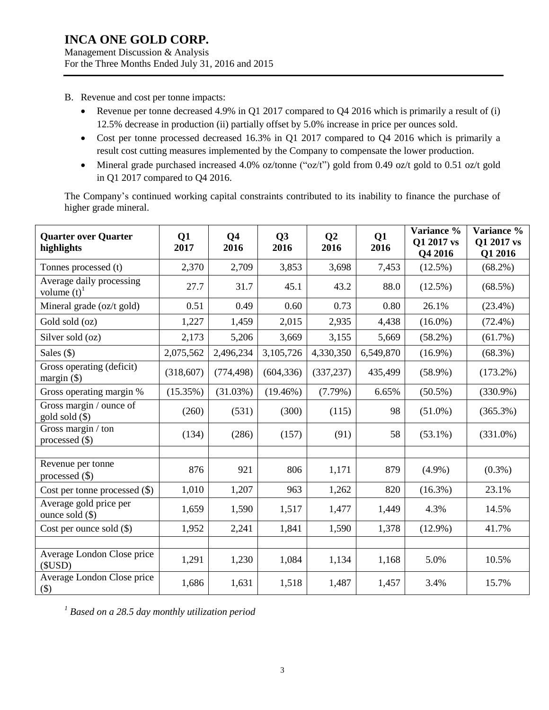Management Discussion & Analysis For the Three Months Ended July 31, 2016 and 2015

- B. Revenue and cost per tonne impacts:
	- Revenue per tonne decreased 4.9% in Q1 2017 compared to Q4 2016 which is primarily a result of (i) 12.5% decrease in production (ii) partially offset by 5.0% increase in price per ounces sold.
	- Cost per tonne processed decreased 16.3% in Q1 2017 compared to Q4 2016 which is primarily a result cost cutting measures implemented by the Company to compensate the lower production.
	- Mineral grade purchased increased 4.0% oz/tonne (" $oz/t$ ") gold from 0.49 oz/t gold to 0.51 oz/t gold in Q1 2017 compared to Q4 2016.

The Company's continued working capital constraints contributed to its inability to finance the purchase of higher grade mineral.

| <b>Quarter over Quarter</b><br>highlights             | Q1<br>2017 | Q <sub>4</sub><br>2016 | Q3<br>2016  | Q <sub>2</sub><br>2016 | Q1<br>2016 | Variance %<br>Q1 2017 vs<br>Q4 2016 | Variance %<br>Q1 2017 vs<br>Q1 2016 |
|-------------------------------------------------------|------------|------------------------|-------------|------------------------|------------|-------------------------------------|-------------------------------------|
| Tonnes processed (t)                                  | 2,370      | 2,709                  | 3,853       | 3,698                  | 7,453      | $(12.5\%)$                          | $(68.2\%)$                          |
| Average daily processing<br>volume $(t)$ <sup>1</sup> | 27.7       | 31.7                   | 45.1        | 43.2                   | 88.0       | $(12.5\%)$                          | $(68.5\%)$                          |
| Mineral grade (oz/t gold)                             | 0.51       | 0.49                   | 0.60        | 0.73                   | 0.80       | 26.1%                               | $(23.4\%)$                          |
| Gold sold (oz)                                        | 1,227      | 1,459                  | 2,015       | 2,935                  | 4,438      | $(16.0\%)$                          | $(72.4\%)$                          |
| Silver sold (oz)                                      | 2,173      | 5,206                  | 3,669       | 3,155                  | 5,669      | $(58.2\%)$                          | $(61.7\%)$                          |
| Sales $($ )                                           | 2,075,562  | 2,496,234              | 3,105,726   | 4,330,350              | 6,549,870  | $(16.9\%)$                          | $(68.3\%)$                          |
| Gross operating (deficit)<br>margin $(\$)$            | (318,607)  | (774, 498)             | (604, 336)  | (337, 237)             | 435,499    | $(58.9\%)$                          | $(173.2\%)$                         |
| Gross operating margin %                              | (15.35%)   | $(31.03\%)$            | $(19.46\%)$ | $(7.79\%)$             | 6.65%      | $(50.5\%)$                          | $(330.9\%)$                         |
| Gross margin / ounce of<br>gold sold (\$)             | (260)      | (531)                  | (300)       | (115)                  | 98         | $(51.0\%)$                          | (365.3%)                            |
| Gross margin / ton<br>processed $(\$)$                | (134)      | (286)                  | (157)       | (91)                   | 58         | $(53.1\%)$                          | $(331.0\%)$                         |
|                                                       |            |                        |             |                        |            |                                     |                                     |
| Revenue per tonne<br>processed $(\$)$                 | 876        | 921                    | 806         | 1,171                  | 879        | $(4.9\%)$                           | $(0.3\%)$                           |
| Cost per tonne processed (\$)                         | 1,010      | 1,207                  | 963         | 1,262                  | 820        | $(16.3\%)$                          | 23.1%                               |
| Average gold price per<br>ounce sold $(\$)$           | 1,659      | 1,590                  | 1,517       | 1,477                  | 1,449      | 4.3%                                | 14.5%                               |
| Cost per ounce sold $(\$)$                            | 1,952      | 2,241                  | 1,841       | 1,590                  | 1,378      | $(12.9\%)$                          | 41.7%                               |
|                                                       |            |                        |             |                        |            |                                     |                                     |
| Average London Close price<br>(SUSD)                  | 1,291      | 1,230                  | 1,084       | 1,134                  | 1,168      | 5.0%                                | 10.5%                               |
| Average London Close price<br>$(\$)$                  | 1,686      | 1,631                  | 1,518       | 1,487                  | 1,457      | 3.4%                                | 15.7%                               |

*1 Based on a 28.5 day monthly utilization period*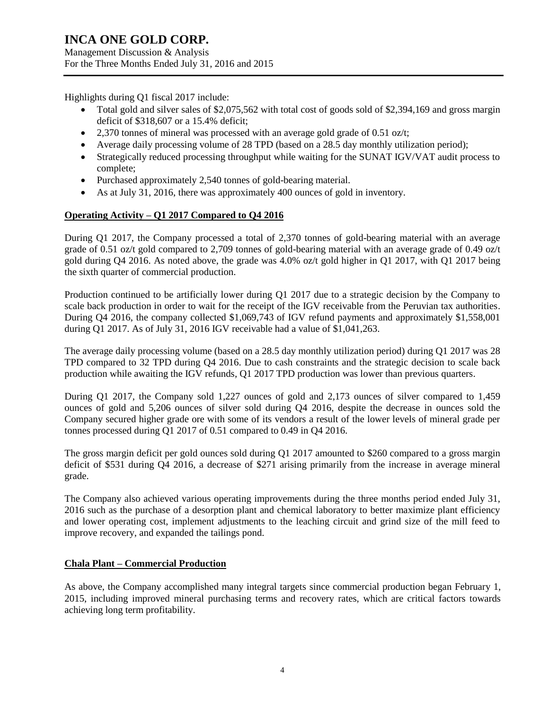Management Discussion & Analysis For the Three Months Ended July 31, 2016 and 2015

Highlights during Q1 fiscal 2017 include:

- Total gold and silver sales of \$2,075,562 with total cost of goods sold of \$2,394,169 and gross margin deficit of \$318,607 or a 15.4% deficit;
- 2,370 tonnes of mineral was processed with an average gold grade of 0.51 oz/t;
- Average daily processing volume of 28 TPD (based on a 28.5 day monthly utilization period);
- Strategically reduced processing throughput while waiting for the SUNAT IGV/VAT audit process to complete;
- Purchased approximately 2,540 tonnes of gold-bearing material.
- As at July 31, 2016, there was approximately 400 ounces of gold in inventory.

### **Operating Activity – Q1 2017 Compared to Q4 2016**

During Q1 2017, the Company processed a total of 2,370 tonnes of gold-bearing material with an average grade of 0.51 oz/t gold compared to 2,709 tonnes of gold-bearing material with an average grade of 0.49 oz/t gold during  $Q_4$  2016. As noted above, the grade was 4.0% oz/t gold higher in Q1 2017, with Q1 2017 being the sixth quarter of commercial production.

Production continued to be artificially lower during Q1 2017 due to a strategic decision by the Company to scale back production in order to wait for the receipt of the IGV receivable from the Peruvian tax authorities. During Q4 2016, the company collected \$1,069,743 of IGV refund payments and approximately \$1,558,001 during Q1 2017. As of July 31, 2016 IGV receivable had a value of \$1,041,263.

The average daily processing volume (based on a 28.5 day monthly utilization period) during Q1 2017 was 28 TPD compared to 32 TPD during Q4 2016. Due to cash constraints and the strategic decision to scale back production while awaiting the IGV refunds, Q1 2017 TPD production was lower than previous quarters.

During Q1 2017, the Company sold 1,227 ounces of gold and 2,173 ounces of silver compared to 1,459 ounces of gold and 5,206 ounces of silver sold during Q4 2016, despite the decrease in ounces sold the Company secured higher grade ore with some of its vendors a result of the lower levels of mineral grade per tonnes processed during Q1 2017 of 0.51 compared to 0.49 in Q4 2016.

The gross margin deficit per gold ounces sold during Q1 2017 amounted to \$260 compared to a gross margin deficit of \$531 during Q4 2016, a decrease of \$271 arising primarily from the increase in average mineral grade.

The Company also achieved various operating improvements during the three months period ended July 31, 2016 such as the purchase of a desorption plant and chemical laboratory to better maximize plant efficiency and lower operating cost, implement adjustments to the leaching circuit and grind size of the mill feed to improve recovery, and expanded the tailings pond.

#### **Chala Plant – Commercial Production**

As above, the Company accomplished many integral targets since commercial production began February 1, 2015, including improved mineral purchasing terms and recovery rates, which are critical factors towards achieving long term profitability.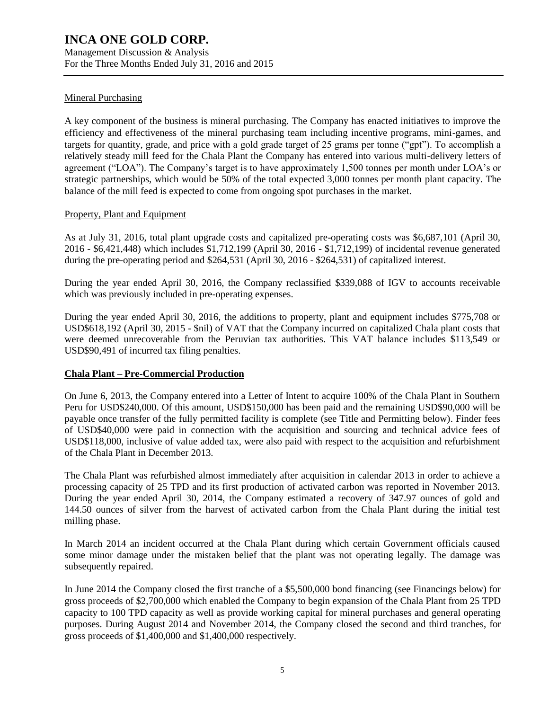Management Discussion & Analysis For the Three Months Ended July 31, 2016 and 2015

### Mineral Purchasing

A key component of the business is mineral purchasing. The Company has enacted initiatives to improve the efficiency and effectiveness of the mineral purchasing team including incentive programs, mini-games, and targets for quantity, grade, and price with a gold grade target of 25 grams per tonne ("gpt"). To accomplish a relatively steady mill feed for the Chala Plant the Company has entered into various multi-delivery letters of agreement ("LOA"). The Company's target is to have approximately 1,500 tonnes per month under LOA's or strategic partnerships, which would be 50% of the total expected 3,000 tonnes per month plant capacity. The balance of the mill feed is expected to come from ongoing spot purchases in the market.

### Property, Plant and Equipment

As at July 31, 2016, total plant upgrade costs and capitalized pre-operating costs was \$6,687,101 (April 30, 2016 - \$6,421,448) which includes \$1,712,199 (April 30, 2016 - \$1,712,199) of incidental revenue generated during the pre-operating period and \$264,531 (April 30, 2016 - \$264,531) of capitalized interest.

During the year ended April 30, 2016, the Company reclassified \$339,088 of IGV to accounts receivable which was previously included in pre-operating expenses.

During the year ended April 30, 2016, the additions to property, plant and equipment includes \$775,708 or USD\$618,192 (April 30, 2015 - \$nil) of VAT that the Company incurred on capitalized Chala plant costs that were deemed unrecoverable from the Peruvian tax authorities. This VAT balance includes \$113,549 or USD\$90,491 of incurred tax filing penalties.

### **Chala Plant – Pre-Commercial Production**

On June 6, 2013, the Company entered into a Letter of Intent to acquire 100% of the Chala Plant in Southern Peru for USD\$240,000. Of this amount, USD\$150,000 has been paid and the remaining USD\$90,000 will be payable once transfer of the fully permitted facility is complete (see Title and Permitting below). Finder fees of USD\$40,000 were paid in connection with the acquisition and sourcing and technical advice fees of USD\$118,000, inclusive of value added tax, were also paid with respect to the acquisition and refurbishment of the Chala Plant in December 2013.

The Chala Plant was refurbished almost immediately after acquisition in calendar 2013 in order to achieve a processing capacity of 25 TPD and its first production of activated carbon was reported in November 2013. During the year ended April 30, 2014, the Company estimated a recovery of 347.97 ounces of gold and 144.50 ounces of silver from the harvest of activated carbon from the Chala Plant during the initial test milling phase.

In March 2014 an incident occurred at the Chala Plant during which certain Government officials caused some minor damage under the mistaken belief that the plant was not operating legally. The damage was subsequently repaired.

In June 2014 the Company closed the first tranche of a \$5,500,000 bond financing (see Financings below) for gross proceeds of \$2,700,000 which enabled the Company to begin expansion of the Chala Plant from 25 TPD capacity to 100 TPD capacity as well as provide working capital for mineral purchases and general operating purposes. During August 2014 and November 2014, the Company closed the second and third tranches, for gross proceeds of \$1,400,000 and \$1,400,000 respectively.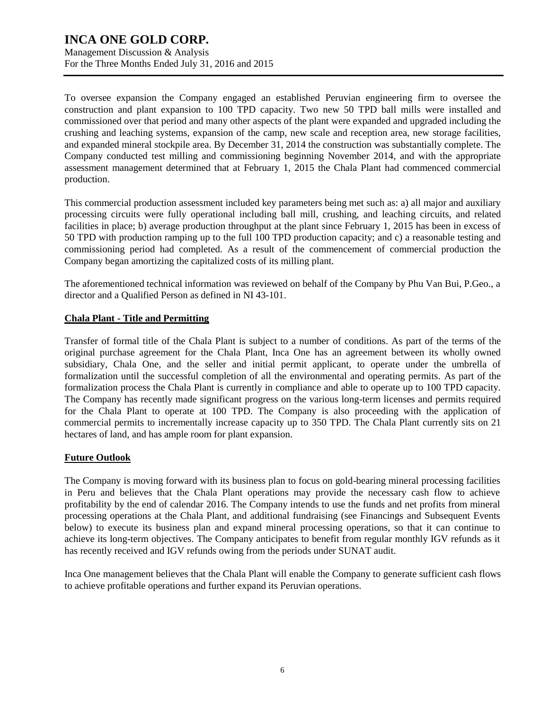Management Discussion & Analysis For the Three Months Ended July 31, 2016 and 2015

To oversee expansion the Company engaged an established Peruvian engineering firm to oversee the construction and plant expansion to 100 TPD capacity. Two new 50 TPD ball mills were installed and commissioned over that period and many other aspects of the plant were expanded and upgraded including the crushing and leaching systems, expansion of the camp, new scale and reception area, new storage facilities, and expanded mineral stockpile area. By December 31, 2014 the construction was substantially complete. The Company conducted test milling and commissioning beginning November 2014, and with the appropriate assessment management determined that at February 1, 2015 the Chala Plant had commenced commercial production.

This commercial production assessment included key parameters being met such as: a) all major and auxiliary processing circuits were fully operational including ball mill, crushing, and leaching circuits, and related facilities in place; b) average production throughput at the plant since February 1, 2015 has been in excess of 50 TPD with production ramping up to the full 100 TPD production capacity; and c) a reasonable testing and commissioning period had completed. As a result of the commencement of commercial production the Company began amortizing the capitalized costs of its milling plant.

The aforementioned technical information was reviewed on behalf of the Company by Phu Van Bui, P.Geo., a director and a Qualified Person as defined in NI 43-101.

### **Chala Plant - Title and Permitting**

Transfer of formal title of the Chala Plant is subject to a number of conditions. As part of the terms of the original purchase agreement for the Chala Plant, Inca One has an agreement between its wholly owned subsidiary, Chala One, and the seller and initial permit applicant, to operate under the umbrella of formalization until the successful completion of all the environmental and operating permits. As part of the formalization process the Chala Plant is currently in compliance and able to operate up to 100 TPD capacity. The Company has recently made significant progress on the various long-term licenses and permits required for the Chala Plant to operate at 100 TPD. The Company is also proceeding with the application of commercial permits to incrementally increase capacity up to 350 TPD. The Chala Plant currently sits on 21 hectares of land, and has ample room for plant expansion.

### **Future Outlook**

The Company is moving forward with its business plan to focus on gold-bearing mineral processing facilities in Peru and believes that the Chala Plant operations may provide the necessary cash flow to achieve profitability by the end of calendar 2016. The Company intends to use the funds and net profits from mineral processing operations at the Chala Plant, and additional fundraising (see Financings and Subsequent Events below) to execute its business plan and expand mineral processing operations, so that it can continue to achieve its long-term objectives. The Company anticipates to benefit from regular monthly IGV refunds as it has recently received and IGV refunds owing from the periods under SUNAT audit.

Inca One management believes that the Chala Plant will enable the Company to generate sufficient cash flows to achieve profitable operations and further expand its Peruvian operations.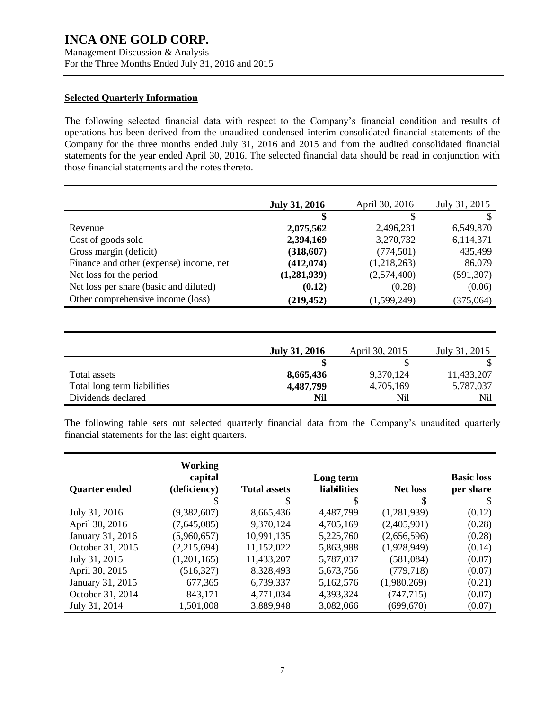Management Discussion & Analysis For the Three Months Ended July 31, 2016 and 2015

#### **Selected Quarterly Information**

The following selected financial data with respect to the Company's financial condition and results of operations has been derived from the unaudited condensed interim consolidated financial statements of the Company for the three months ended July 31, 2016 and 2015 and from the audited consolidated financial statements for the year ended April 30, 2016. The selected financial data should be read in conjunction with those financial statements and the notes thereto.

| <b>July 31, 2016</b> | April 30, 2016 | July 31, 2015 |
|----------------------|----------------|---------------|
| \$                   | \$             | S             |
| 2,075,562            | 2,496,231      | 6,549,870     |
| 2,394,169            | 3,270,732      | 6,114,371     |
| (318,607)            | (774, 501)     | 435,499       |
| (412, 074)           | (1,218,263)    | 86,079        |
| (1,281,939)          | (2,574,400)    | (591, 307)    |
| (0.12)               | (0.28)         | (0.06)        |
| (219, 452)           | (1,599,249)    | (375,064)     |
|                      |                |               |
|                      |                |               |
|                      |                |               |

|                             | <b>July 31, 2016</b> | April 30, 2015 | July 31, 2015 |
|-----------------------------|----------------------|----------------|---------------|
|                             |                      |                |               |
| Total assets                | 8,665,436            | 9,370,124      | 11,433,207    |
| Total long term liabilities | 4,487,799            | 4,705,169      | 5,787,037     |
| Dividends declared          | Nil                  | Nil            | Nil           |

The following table sets out selected quarterly financial data from the Company's unaudited quarterly financial statements for the last eight quarters.

| <b>Quarter ended</b> | Working<br>capital<br>(deficiency) | <b>Total assets</b> | Long term<br><b>liabilities</b> | <b>Net loss</b> | <b>Basic loss</b><br>per share |
|----------------------|------------------------------------|---------------------|---------------------------------|-----------------|--------------------------------|
|                      | S                                  | \$                  | \$                              | \$              | S                              |
| July 31, 2016        | (9,382,607)                        | 8,665,436           | 4,487,799                       | (1,281,939)     | (0.12)                         |
| April 30, 2016       | (7,645,085)                        | 9,370,124           | 4,705,169                       | (2,405,901)     | (0.28)                         |
| January 31, 2016     | (5,960,657)                        | 10,991,135          | 5,225,760                       | (2,656,596)     | (0.28)                         |
| October 31, 2015     | (2,215,694)                        | 11,152,022          | 5,863,988                       | (1,928,949)     | (0.14)                         |
| July 31, 2015        | (1,201,165)                        | 11,433,207          | 5,787,037                       | (581,084)       | (0.07)                         |
| April 30, 2015       | (516, 327)                         | 8,328,493           | 5,673,756                       | (779, 718)      | (0.07)                         |
| January 31, 2015     | 677,365                            | 6,739,337           | 5,162,576                       | (1,980,269)     | (0.21)                         |
| October 31, 2014     | 843,171                            | 4,771,034           | 4,393,324                       | (747, 715)      | (0.07)                         |
| July 31, 2014        | 1,501,008                          | 3,889,948           | 3,082,066                       | (699, 670)      | (0.07)                         |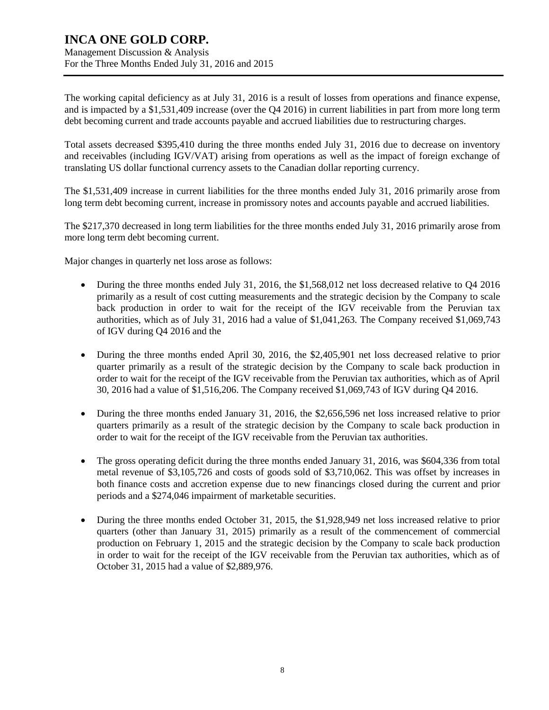Management Discussion & Analysis For the Three Months Ended July 31, 2016 and 2015

The working capital deficiency as at July 31, 2016 is a result of losses from operations and finance expense, and is impacted by a \$1,531,409 increase (over the Q4 2016) in current liabilities in part from more long term debt becoming current and trade accounts payable and accrued liabilities due to restructuring charges.

Total assets decreased \$395,410 during the three months ended July 31, 2016 due to decrease on inventory and receivables (including IGV/VAT) arising from operations as well as the impact of foreign exchange of translating US dollar functional currency assets to the Canadian dollar reporting currency.

The \$1,531,409 increase in current liabilities for the three months ended July 31, 2016 primarily arose from long term debt becoming current, increase in promissory notes and accounts payable and accrued liabilities.

The \$217,370 decreased in long term liabilities for the three months ended July 31, 2016 primarily arose from more long term debt becoming current.

Major changes in quarterly net loss arose as follows:

- During the three months ended July 31, 2016, the \$1,568,012 net loss decreased relative to Q4 2016 primarily as a result of cost cutting measurements and the strategic decision by the Company to scale back production in order to wait for the receipt of the IGV receivable from the Peruvian tax authorities, which as of July 31, 2016 had a value of \$1,041,263. The Company received \$1,069,743 of IGV during Q4 2016 and the
- During the three months ended April 30, 2016, the \$2,405,901 net loss decreased relative to prior quarter primarily as a result of the strategic decision by the Company to scale back production in order to wait for the receipt of the IGV receivable from the Peruvian tax authorities, which as of April 30, 2016 had a value of \$1,516,206. The Company received \$1,069,743 of IGV during Q4 2016.
- During the three months ended January 31, 2016, the \$2,656,596 net loss increased relative to prior quarters primarily as a result of the strategic decision by the Company to scale back production in order to wait for the receipt of the IGV receivable from the Peruvian tax authorities.
- The gross operating deficit during the three months ended January 31, 2016, was \$604,336 from total metal revenue of \$3,105,726 and costs of goods sold of \$3,710,062. This was offset by increases in both finance costs and accretion expense due to new financings closed during the current and prior periods and a \$274,046 impairment of marketable securities.
- During the three months ended October 31, 2015, the \$1,928,949 net loss increased relative to prior quarters (other than January 31, 2015) primarily as a result of the commencement of commercial production on February 1, 2015 and the strategic decision by the Company to scale back production in order to wait for the receipt of the IGV receivable from the Peruvian tax authorities, which as of October 31, 2015 had a value of \$2,889,976.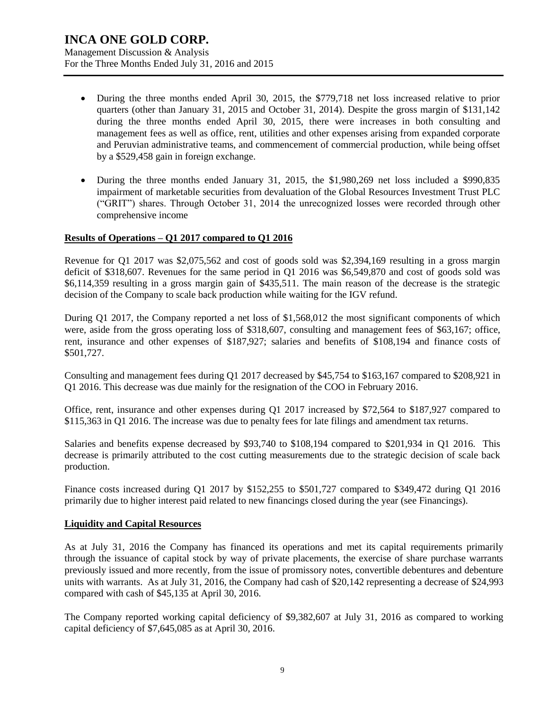Management Discussion & Analysis For the Three Months Ended July 31, 2016 and 2015

- During the three months ended April 30, 2015, the \$779,718 net loss increased relative to prior quarters (other than January 31, 2015 and October 31, 2014). Despite the gross margin of \$131,142 during the three months ended April 30, 2015, there were increases in both consulting and management fees as well as office, rent, utilities and other expenses arising from expanded corporate and Peruvian administrative teams, and commencement of commercial production, while being offset by a \$529,458 gain in foreign exchange.
- During the three months ended January 31, 2015, the \$1,980,269 net loss included a \$990,835 impairment of marketable securities from devaluation of the Global Resources Investment Trust PLC ("GRIT") shares. Through October 31, 2014 the unrecognized losses were recorded through other comprehensive income

#### **Results of Operations – Q1 2017 compared to Q1 2016**

Revenue for Q1 2017 was \$2,075,562 and cost of goods sold was \$2,394,169 resulting in a gross margin deficit of \$318,607. Revenues for the same period in Q1 2016 was \$6,549,870 and cost of goods sold was \$6,114,359 resulting in a gross margin gain of \$435,511. The main reason of the decrease is the strategic decision of the Company to scale back production while waiting for the IGV refund.

During Q1 2017, the Company reported a net loss of \$1,568,012 the most significant components of which were, aside from the gross operating loss of \$318,607, consulting and management fees of \$63,167; office, rent, insurance and other expenses of \$187,927; salaries and benefits of \$108,194 and finance costs of \$501,727.

Consulting and management fees during Q1 2017 decreased by \$45,754 to \$163,167 compared to \$208,921 in Q1 2016. This decrease was due mainly for the resignation of the COO in February 2016.

Office, rent, insurance and other expenses during Q1 2017 increased by \$72,564 to \$187,927 compared to \$115,363 in Q1 2016. The increase was due to penalty fees for late filings and amendment tax returns.

Salaries and benefits expense decreased by \$93,740 to \$108,194 compared to \$201,934 in Q1 2016. This decrease is primarily attributed to the cost cutting measurements due to the strategic decision of scale back production.

Finance costs increased during Q1 2017 by \$152,255 to \$501,727 compared to \$349,472 during Q1 2016 primarily due to higher interest paid related to new financings closed during the year (see Financings).

#### **Liquidity and Capital Resources**

As at July 31, 2016 the Company has financed its operations and met its capital requirements primarily through the issuance of capital stock by way of private placements, the exercise of share purchase warrants previously issued and more recently, from the issue of promissory notes, convertible debentures and debenture units with warrants. As at July 31, 2016, the Company had cash of \$20,142 representing a decrease of \$24,993 compared with cash of \$45,135 at April 30, 2016.

The Company reported working capital deficiency of \$9,382,607 at July 31, 2016 as compared to working capital deficiency of \$7,645,085 as at April 30, 2016.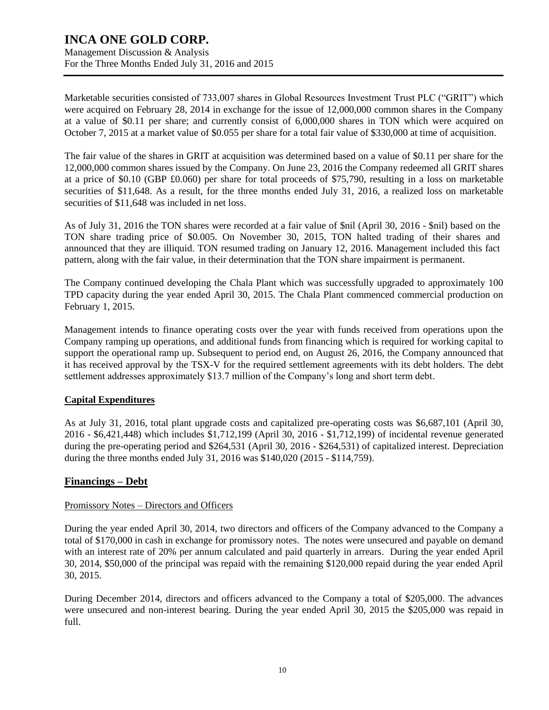Management Discussion & Analysis For the Three Months Ended July 31, 2016 and 2015

Marketable securities consisted of 733,007 shares in Global Resources Investment Trust PLC ("GRIT") which were acquired on February 28, 2014 in exchange for the issue of 12,000,000 common shares in the Company at a value of \$0.11 per share; and currently consist of 6,000,000 shares in TON which were acquired on October 7, 2015 at a market value of \$0.055 per share for a total fair value of \$330,000 at time of acquisition.

The fair value of the shares in GRIT at acquisition was determined based on a value of \$0.11 per share for the 12,000,000 common shares issued by the Company. On June 23, 2016 the Company redeemed all GRIT shares at a price of \$0.10 (GBP £0.060) per share for total proceeds of \$75,790, resulting in a loss on marketable securities of \$11,648. As a result, for the three months ended July 31, 2016, a realized loss on marketable securities of \$11,648 was included in net loss.

As of July 31, 2016 the TON shares were recorded at a fair value of \$nil (April 30, 2016 - \$nil) based on the TON share trading price of \$0.005. On November 30, 2015, TON halted trading of their shares and announced that they are illiquid. TON resumed trading on January 12, 2016. Management included this fact pattern, along with the fair value, in their determination that the TON share impairment is permanent.

The Company continued developing the Chala Plant which was successfully upgraded to approximately 100 TPD capacity during the year ended April 30, 2015. The Chala Plant commenced commercial production on February 1, 2015.

Management intends to finance operating costs over the year with funds received from operations upon the Company ramping up operations, and additional funds from financing which is required for working capital to support the operational ramp up. Subsequent to period end, on August 26, 2016, the Company announced that it has received approval by the TSX-V for the required settlement agreements with its debt holders. The debt settlement addresses approximately \$13.7 million of the Company's long and short term debt.

### **Capital Expenditures**

As at July 31, 2016, total plant upgrade costs and capitalized pre-operating costs was \$6,687,101 (April 30, 2016 - \$6,421,448) which includes \$1,712,199 (April 30, 2016 - \$1,712,199) of incidental revenue generated during the pre-operating period and \$264,531 (April 30, 2016 - \$264,531) of capitalized interest. Depreciation during the three months ended July 31, 2016 was \$140,020 (2015 - \$114,759).

### **Financings – Debt**

#### Promissory Notes – Directors and Officers

During the year ended April 30, 2014, two directors and officers of the Company advanced to the Company a total of \$170,000 in cash in exchange for promissory notes. The notes were unsecured and payable on demand with an interest rate of 20% per annum calculated and paid quarterly in arrears. During the year ended April 30, 2014, \$50,000 of the principal was repaid with the remaining \$120,000 repaid during the year ended April 30, 2015.

During December 2014, directors and officers advanced to the Company a total of \$205,000. The advances were unsecured and non-interest bearing. During the year ended April 30, 2015 the \$205,000 was repaid in full.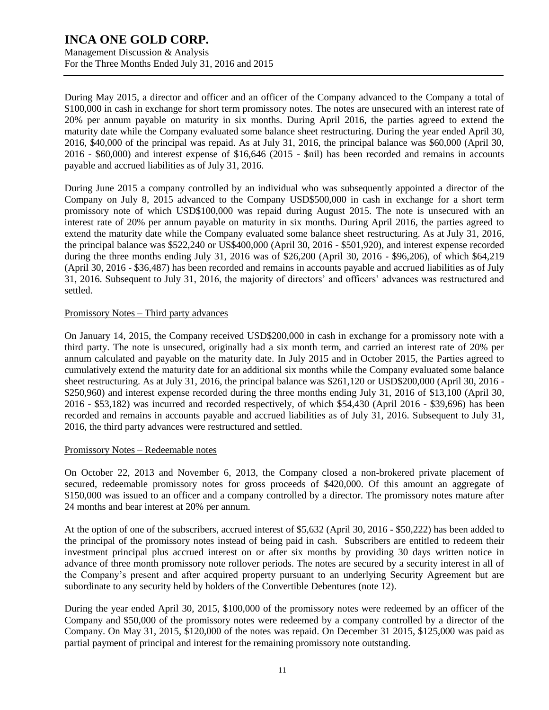Management Discussion & Analysis For the Three Months Ended July 31, 2016 and 2015

During May 2015, a director and officer and an officer of the Company advanced to the Company a total of \$100,000 in cash in exchange for short term promissory notes. The notes are unsecured with an interest rate of 20% per annum payable on maturity in six months. During April 2016, the parties agreed to extend the maturity date while the Company evaluated some balance sheet restructuring. During the year ended April 30, 2016, \$40,000 of the principal was repaid. As at July 31, 2016, the principal balance was \$60,000 (April 30, 2016 - \$60,000) and interest expense of \$16,646 (2015 - \$nil) has been recorded and remains in accounts payable and accrued liabilities as of July 31, 2016.

During June 2015 a company controlled by an individual who was subsequently appointed a director of the Company on July 8, 2015 advanced to the Company USD\$500,000 in cash in exchange for a short term promissory note of which USD\$100,000 was repaid during August 2015. The note is unsecured with an interest rate of 20% per annum payable on maturity in six months. During April 2016, the parties agreed to extend the maturity date while the Company evaluated some balance sheet restructuring. As at July 31, 2016, the principal balance was \$522,240 or US\$400,000 (April 30, 2016 - \$501,920), and interest expense recorded during the three months ending July 31, 2016 was of \$26,200 (April 30, 2016 - \$96,206), of which \$64,219 (April 30, 2016 - \$36,487) has been recorded and remains in accounts payable and accrued liabilities as of July 31, 2016. Subsequent to July 31, 2016, the majority of directors' and officers' advances was restructured and settled.

#### Promissory Notes – Third party advances

On January 14, 2015, the Company received USD\$200,000 in cash in exchange for a promissory note with a third party. The note is unsecured, originally had a six month term, and carried an interest rate of 20% per annum calculated and payable on the maturity date. In July 2015 and in October 2015, the Parties agreed to cumulatively extend the maturity date for an additional six months while the Company evaluated some balance sheet restructuring. As at July 31, 2016, the principal balance was \$261,120 or USD\$200,000 (April 30, 2016 - \$250,960) and interest expense recorded during the three months ending July 31, 2016 of \$13,100 (April 30, 2016 - \$53,182) was incurred and recorded respectively, of which \$54,430 (April 2016 - \$39,696) has been recorded and remains in accounts payable and accrued liabilities as of July 31, 2016. Subsequent to July 31, 2016, the third party advances were restructured and settled.

#### Promissory Notes – Redeemable notes

On October 22, 2013 and November 6, 2013, the Company closed a non-brokered private placement of secured, redeemable promissory notes for gross proceeds of \$420,000. Of this amount an aggregate of \$150,000 was issued to an officer and a company controlled by a director. The promissory notes mature after 24 months and bear interest at 20% per annum.

At the option of one of the subscribers, accrued interest of \$5,632 (April 30, 2016 - \$50,222) has been added to the principal of the promissory notes instead of being paid in cash. Subscribers are entitled to redeem their investment principal plus accrued interest on or after six months by providing 30 days written notice in advance of three month promissory note rollover periods. The notes are secured by a security interest in all of the Company's present and after acquired property pursuant to an underlying Security Agreement but are subordinate to any security held by holders of the Convertible Debentures (note 12).

During the year ended April 30, 2015, \$100,000 of the promissory notes were redeemed by an officer of the Company and \$50,000 of the promissory notes were redeemed by a company controlled by a director of the Company. On May 31, 2015, \$120,000 of the notes was repaid. On December 31 2015, \$125,000 was paid as partial payment of principal and interest for the remaining promissory note outstanding.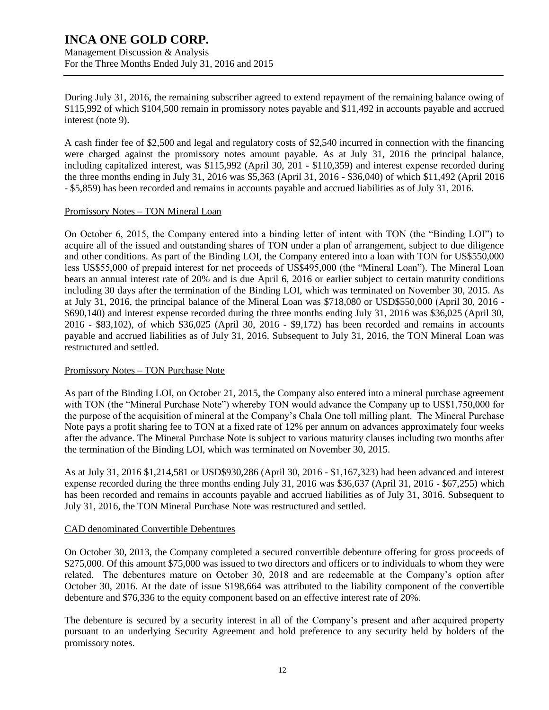Management Discussion & Analysis For the Three Months Ended July 31, 2016 and 2015

During July 31, 2016, the remaining subscriber agreed to extend repayment of the remaining balance owing of \$115,992 of which \$104,500 remain in promissory notes payable and \$11,492 in accounts payable and accrued interest (note 9).

A cash finder fee of \$2,500 and legal and regulatory costs of \$2,540 incurred in connection with the financing were charged against the promissory notes amount payable. As at July 31, 2016 the principal balance, including capitalized interest, was \$115,992 (April 30, 201 - \$110,359) and interest expense recorded during the three months ending in July 31, 2016 was \$5,363 (April 31, 2016 - \$36,040) of which \$11,492 (April 2016 - \$5,859) has been recorded and remains in accounts payable and accrued liabilities as of July 31, 2016.

#### Promissory Notes – TON Mineral Loan

On October 6, 2015, the Company entered into a binding letter of intent with TON (the "Binding LOI") to acquire all of the issued and outstanding shares of TON under a plan of arrangement, subject to due diligence and other conditions. As part of the Binding LOI, the Company entered into a loan with TON for US\$550,000 less US\$55,000 of prepaid interest for net proceeds of US\$495,000 (the "Mineral Loan"). The Mineral Loan bears an annual interest rate of 20% and is due April 6, 2016 or earlier subject to certain maturity conditions including 30 days after the termination of the Binding LOI, which was terminated on November 30, 2015. As at July 31, 2016, the principal balance of the Mineral Loan was \$718,080 or USD\$550,000 (April 30, 2016 - \$690,140) and interest expense recorded during the three months ending July 31, 2016 was \$36,025 (April 30, 2016 - \$83,102), of which \$36,025 (April 30, 2016 - \$9,172) has been recorded and remains in accounts payable and accrued liabilities as of July 31, 2016. Subsequent to July 31, 2016, the TON Mineral Loan was restructured and settled.

#### Promissory Notes – TON Purchase Note

As part of the Binding LOI, on October 21, 2015, the Company also entered into a mineral purchase agreement with TON (the "Mineral Purchase Note") whereby TON would advance the Company up to US\$1,750,000 for the purpose of the acquisition of mineral at the Company's Chala One toll milling plant. The Mineral Purchase Note pays a profit sharing fee to TON at a fixed rate of 12% per annum on advances approximately four weeks after the advance. The Mineral Purchase Note is subject to various maturity clauses including two months after the termination of the Binding LOI, which was terminated on November 30, 2015.

As at July 31, 2016 \$1,214,581 or USD\$930,286 (April 30, 2016 - \$1,167,323) had been advanced and interest expense recorded during the three months ending July 31, 2016 was \$36,637 (April 31, 2016 - \$67,255) which has been recorded and remains in accounts payable and accrued liabilities as of July 31, 3016. Subsequent to July 31, 2016, the TON Mineral Purchase Note was restructured and settled.

#### CAD denominated Convertible Debentures

On October 30, 2013, the Company completed a secured convertible debenture offering for gross proceeds of \$275,000. Of this amount \$75,000 was issued to two directors and officers or to individuals to whom they were related. The debentures mature on October 30, 2018 and are redeemable at the Company's option after October 30, 2016. At the date of issue \$198,664 was attributed to the liability component of the convertible debenture and \$76,336 to the equity component based on an effective interest rate of 20%.

The debenture is secured by a security interest in all of the Company's present and after acquired property pursuant to an underlying Security Agreement and hold preference to any security held by holders of the promissory notes.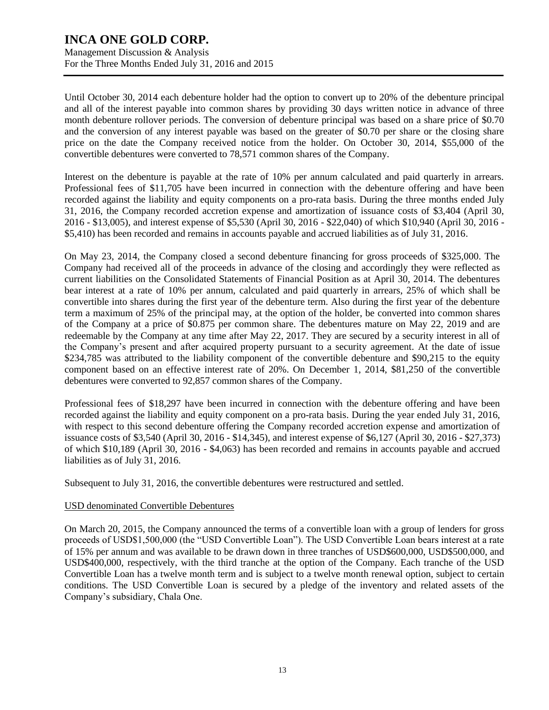Management Discussion & Analysis For the Three Months Ended July 31, 2016 and 2015

Until October 30, 2014 each debenture holder had the option to convert up to 20% of the debenture principal and all of the interest payable into common shares by providing 30 days written notice in advance of three month debenture rollover periods. The conversion of debenture principal was based on a share price of \$0.70 and the conversion of any interest payable was based on the greater of \$0.70 per share or the closing share price on the date the Company received notice from the holder. On October 30, 2014, \$55,000 of the convertible debentures were converted to 78,571 common shares of the Company.

Interest on the debenture is payable at the rate of 10% per annum calculated and paid quarterly in arrears. Professional fees of \$11,705 have been incurred in connection with the debenture offering and have been recorded against the liability and equity components on a pro-rata basis. During the three months ended July 31, 2016, the Company recorded accretion expense and amortization of issuance costs of \$3,404 (April 30, 2016 - \$13,005), and interest expense of \$5,530 (April 30, 2016 - \$22,040) of which \$10,940 (April 30, 2016 - \$5,410) has been recorded and remains in accounts payable and accrued liabilities as of July 31, 2016.

On May 23, 2014, the Company closed a second debenture financing for gross proceeds of \$325,000. The Company had received all of the proceeds in advance of the closing and accordingly they were reflected as current liabilities on the Consolidated Statements of Financial Position as at April 30, 2014. The debentures bear interest at a rate of 10% per annum, calculated and paid quarterly in arrears, 25% of which shall be convertible into shares during the first year of the debenture term. Also during the first year of the debenture term a maximum of 25% of the principal may, at the option of the holder, be converted into common shares of the Company at a price of \$0.875 per common share. The debentures mature on May 22, 2019 and are redeemable by the Company at any time after May 22, 2017. They are secured by a security interest in all of the Company's present and after acquired property pursuant to a security agreement. At the date of issue \$234,785 was attributed to the liability component of the convertible debenture and \$90,215 to the equity component based on an effective interest rate of 20%. On December 1, 2014, \$81,250 of the convertible debentures were converted to 92,857 common shares of the Company.

Professional fees of \$18,297 have been incurred in connection with the debenture offering and have been recorded against the liability and equity component on a pro-rata basis. During the year ended July 31, 2016, with respect to this second debenture offering the Company recorded accretion expense and amortization of issuance costs of \$3,540 (April 30, 2016 - \$14,345), and interest expense of \$6,127 (April 30, 2016 - \$27,373) of which \$10,189 (April 30, 2016 - \$4,063) has been recorded and remains in accounts payable and accrued liabilities as of July 31, 2016.

Subsequent to July 31, 2016, the convertible debentures were restructured and settled.

#### USD denominated Convertible Debentures

On March 20, 2015, the Company announced the terms of a convertible loan with a group of lenders for gross proceeds of USD\$1,500,000 (the "USD Convertible Loan"). The USD Convertible Loan bears interest at a rate of 15% per annum and was available to be drawn down in three tranches of USD\$600,000, USD\$500,000, and USD\$400,000, respectively, with the third tranche at the option of the Company. Each tranche of the USD Convertible Loan has a twelve month term and is subject to a twelve month renewal option, subject to certain conditions. The USD Convertible Loan is secured by a pledge of the inventory and related assets of the Company's subsidiary, Chala One.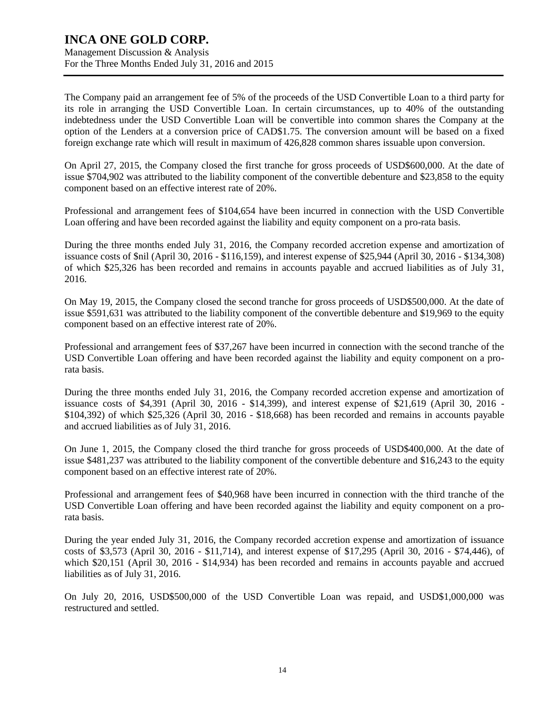Management Discussion & Analysis For the Three Months Ended July 31, 2016 and 2015

The Company paid an arrangement fee of 5% of the proceeds of the USD Convertible Loan to a third party for its role in arranging the USD Convertible Loan. In certain circumstances, up to 40% of the outstanding indebtedness under the USD Convertible Loan will be convertible into common shares the Company at the option of the Lenders at a conversion price of CAD\$1.75. The conversion amount will be based on a fixed foreign exchange rate which will result in maximum of 426,828 common shares issuable upon conversion.

On April 27, 2015, the Company closed the first tranche for gross proceeds of USD\$600,000. At the date of issue \$704,902 was attributed to the liability component of the convertible debenture and \$23,858 to the equity component based on an effective interest rate of 20%.

Professional and arrangement fees of \$104,654 have been incurred in connection with the USD Convertible Loan offering and have been recorded against the liability and equity component on a pro-rata basis.

During the three months ended July 31, 2016, the Company recorded accretion expense and amortization of issuance costs of \$nil (April 30, 2016 - \$116,159), and interest expense of \$25,944 (April 30, 2016 - \$134,308) of which \$25,326 has been recorded and remains in accounts payable and accrued liabilities as of July 31, 2016.

On May 19, 2015, the Company closed the second tranche for gross proceeds of USD\$500,000. At the date of issue \$591,631 was attributed to the liability component of the convertible debenture and \$19,969 to the equity component based on an effective interest rate of 20%.

Professional and arrangement fees of \$37,267 have been incurred in connection with the second tranche of the USD Convertible Loan offering and have been recorded against the liability and equity component on a prorata basis.

During the three months ended July 31, 2016, the Company recorded accretion expense and amortization of issuance costs of \$4,391 (April 30, 2016 - \$14,399), and interest expense of \$21,619 (April 30, 2016 - \$104,392) of which \$25,326 (April 30, 2016 - \$18,668) has been recorded and remains in accounts payable and accrued liabilities as of July 31, 2016.

On June 1, 2015, the Company closed the third tranche for gross proceeds of USD\$400,000. At the date of issue \$481,237 was attributed to the liability component of the convertible debenture and \$16,243 to the equity component based on an effective interest rate of 20%.

Professional and arrangement fees of \$40,968 have been incurred in connection with the third tranche of the USD Convertible Loan offering and have been recorded against the liability and equity component on a prorata basis.

During the year ended July 31, 2016, the Company recorded accretion expense and amortization of issuance costs of \$3,573 (April 30, 2016 - \$11,714), and interest expense of \$17,295 (April 30, 2016 - \$74,446), of which \$20,151 (April 30, 2016 - \$14,934) has been recorded and remains in accounts payable and accrued liabilities as of July 31, 2016.

On July 20, 2016, USD\$500,000 of the USD Convertible Loan was repaid, and USD\$1,000,000 was restructured and settled.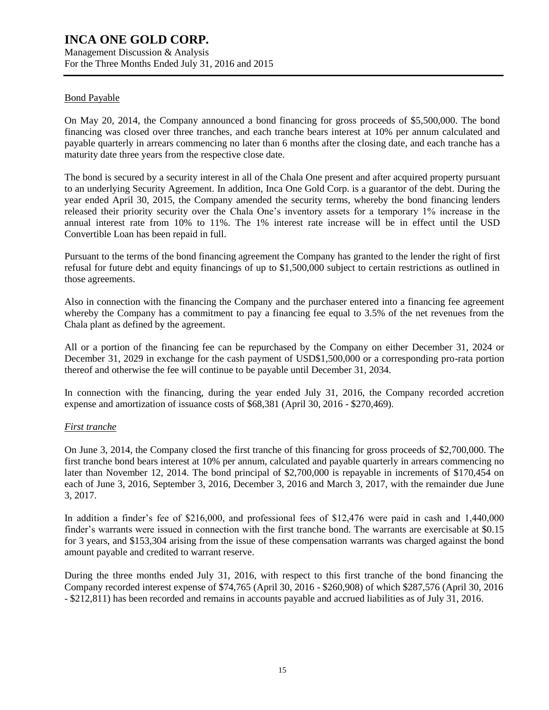Management Discussion & Analysis For the Three Months Ended July 31, 2016 and 2015

#### Bond Payable

On May 20, 2014, the Company announced a bond financing for gross proceeds of \$5,500,000. The bond financing was closed over three tranches, and each tranche bears interest at 10% per annum calculated and payable quarterly in arrears commencing no later than 6 months after the closing date, and each tranche has a maturity date three years from the respective close date.

The bond is secured by a security interest in all of the Chala One present and after acquired property pursuant to an underlying Security Agreement. In addition, Inca One Gold Corp. is a guarantor of the debt. During the year ended April 30, 2015, the Company amended the security terms, whereby the bond financing lenders released their priority security over the Chala One's inventory assets for a temporary 1% increase in the annual interest rate from 10% to 11%. The 1% interest rate increase will be in effect until the USD Convertible Loan has been repaid in full.

Pursuant to the terms of the bond financing agreement the Company has granted to the lender the right of first refusal for future debt and equity financings of up to \$1,500,000 subject to certain restrictions as outlined in those agreements.

Also in connection with the financing the Company and the purchaser entered into a financing fee agreement whereby the Company has a commitment to pay a financing fee equal to 3.5% of the net revenues from the Chala plant as defined by the agreement.

All or a portion of the financing fee can be repurchased by the Company on either December 31, 2024 or December 31, 2029 in exchange for the cash payment of USD\$1,500,000 or a corresponding pro-rata portion thereof and otherwise the fee will continue to be payable until December 31, 2034.

In connection with the financing, during the year ended July 31, 2016, the Company recorded accretion expense and amortization of issuance costs of \$68,381 (April 30, 2016 - \$270,469).

#### *First tranche*

On June 3, 2014, the Company closed the first tranche of this financing for gross proceeds of \$2,700,000. The first tranche bond bears interest at 10% per annum, calculated and payable quarterly in arrears commencing no later than November 12, 2014. The bond principal of \$2,700,000 is repayable in increments of \$170,454 on each of June 3, 2016, September 3, 2016, December 3, 2016 and March 3, 2017, with the remainder due June 3, 2017.

In addition a finder's fee of \$216,000, and professional fees of \$12,476 were paid in cash and 1,440,000 finder's warrants were issued in connection with the first tranche bond. The warrants are exercisable at \$0.15 for 3 years, and \$153,304 arising from the issue of these compensation warrants was charged against the bond amount payable and credited to warrant reserve.

During the three months ended July 31, 2016, with respect to this first tranche of the bond financing the Company recorded interest expense of \$74,765 (April 30, 2016 - \$260,908) of which \$287,576 (April 30, 2016 - \$212,811) has been recorded and remains in accounts payable and accrued liabilities as of July 31, 2016.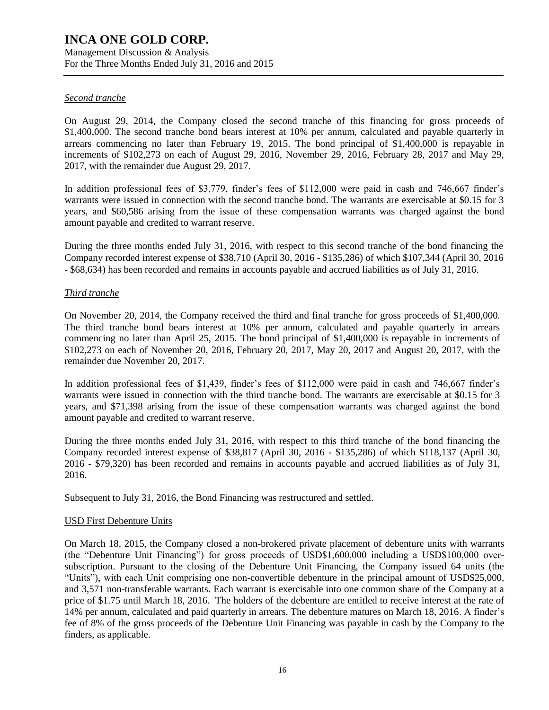Management Discussion & Analysis For the Three Months Ended July 31, 2016 and 2015

#### *Second tranche*

On August 29, 2014, the Company closed the second tranche of this financing for gross proceeds of \$1,400,000. The second tranche bond bears interest at 10% per annum, calculated and payable quarterly in arrears commencing no later than February 19, 2015. The bond principal of \$1,400,000 is repayable in increments of \$102,273 on each of August 29, 2016, November 29, 2016, February 28, 2017 and May 29, 2017, with the remainder due August 29, 2017.

In addition professional fees of \$3,779, finder's fees of \$112,000 were paid in cash and 746,667 finder's warrants were issued in connection with the second tranche bond. The warrants are exercisable at \$0.15 for 3 years, and \$60,586 arising from the issue of these compensation warrants was charged against the bond amount payable and credited to warrant reserve.

During the three months ended July 31, 2016, with respect to this second tranche of the bond financing the Company recorded interest expense of \$38,710 (April 30, 2016 - \$135,286) of which \$107,344 (April 30, 2016 - \$68,634) has been recorded and remains in accounts payable and accrued liabilities as of July 31, 2016.

#### *Third tranche*

On November 20, 2014, the Company received the third and final tranche for gross proceeds of \$1,400,000. The third tranche bond bears interest at 10% per annum, calculated and payable quarterly in arrears commencing no later than April 25, 2015. The bond principal of \$1,400,000 is repayable in increments of \$102,273 on each of November 20, 2016, February 20, 2017, May 20, 2017 and August 20, 2017, with the remainder due November 20, 2017.

In addition professional fees of \$1,439, finder's fees of \$112,000 were paid in cash and 746,667 finder's warrants were issued in connection with the third tranche bond. The warrants are exercisable at \$0.15 for 3 years, and \$71,398 arising from the issue of these compensation warrants was charged against the bond amount payable and credited to warrant reserve.

During the three months ended July 31, 2016, with respect to this third tranche of the bond financing the Company recorded interest expense of \$38,817 (April 30, 2016 - \$135,286) of which \$118,137 (April 30, 2016 - \$79,320) has been recorded and remains in accounts payable and accrued liabilities as of July 31, 2016.

Subsequent to July 31, 2016, the Bond Financing was restructured and settled.

#### USD First Debenture Units

On March 18, 2015, the Company closed a non-brokered private placement of debenture units with warrants (the "Debenture Unit Financing") for gross proceeds of USD\$1,600,000 including a USD\$100,000 oversubscription. Pursuant to the closing of the Debenture Unit Financing, the Company issued 64 units (the "Units"), with each Unit comprising one non-convertible debenture in the principal amount of USD\$25,000, and 3,571 non-transferable warrants. Each warrant is exercisable into one common share of the Company at a price of \$1.75 until March 18, 2016. The holders of the debenture are entitled to receive interest at the rate of 14% per annum, calculated and paid quarterly in arrears. The debenture matures on March 18, 2016. A finder's fee of 8% of the gross proceeds of the Debenture Unit Financing was payable in cash by the Company to the finders, as applicable.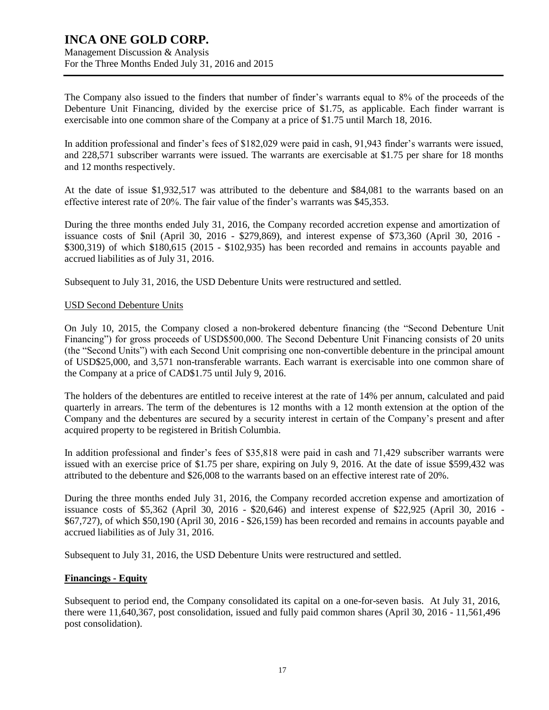Management Discussion & Analysis For the Three Months Ended July 31, 2016 and 2015

The Company also issued to the finders that number of finder's warrants equal to 8% of the proceeds of the Debenture Unit Financing, divided by the exercise price of \$1.75, as applicable. Each finder warrant is exercisable into one common share of the Company at a price of \$1.75 until March 18, 2016.

In addition professional and finder's fees of \$182,029 were paid in cash, 91,943 finder's warrants were issued, and 228,571 subscriber warrants were issued. The warrants are exercisable at \$1.75 per share for 18 months and 12 months respectively.

At the date of issue \$1,932,517 was attributed to the debenture and \$84,081 to the warrants based on an effective interest rate of 20%. The fair value of the finder's warrants was \$45,353.

During the three months ended July 31, 2016, the Company recorded accretion expense and amortization of issuance costs of \$nil (April 30, 2016 - \$279,869), and interest expense of \$73,360 (April 30, 2016 - \$300,319) of which \$180,615 (2015 - \$102,935) has been recorded and remains in accounts payable and accrued liabilities as of July 31, 2016.

Subsequent to July 31, 2016, the USD Debenture Units were restructured and settled.

#### USD Second Debenture Units

On July 10, 2015, the Company closed a non-brokered debenture financing (the "Second Debenture Unit Financing") for gross proceeds of USD\$500,000. The Second Debenture Unit Financing consists of 20 units (the "Second Units") with each Second Unit comprising one non-convertible debenture in the principal amount of USD\$25,000, and 3,571 non-transferable warrants. Each warrant is exercisable into one common share of the Company at a price of CAD\$1.75 until July 9, 2016.

The holders of the debentures are entitled to receive interest at the rate of 14% per annum, calculated and paid quarterly in arrears. The term of the debentures is 12 months with a 12 month extension at the option of the Company and the debentures are secured by a security interest in certain of the Company's present and after acquired property to be registered in British Columbia.

In addition professional and finder's fees of \$35,818 were paid in cash and 71,429 subscriber warrants were issued with an exercise price of \$1.75 per share, expiring on July 9, 2016. At the date of issue \$599,432 was attributed to the debenture and \$26,008 to the warrants based on an effective interest rate of 20%.

During the three months ended July 31, 2016, the Company recorded accretion expense and amortization of issuance costs of \$5,362 (April 30, 2016 - \$20,646) and interest expense of \$22,925 (April 30, 2016 - \$67,727), of which \$50,190 (April 30, 2016 - \$26,159) has been recorded and remains in accounts payable and accrued liabilities as of July 31, 2016.

Subsequent to July 31, 2016, the USD Debenture Units were restructured and settled.

#### **Financings - Equity**

Subsequent to period end, the Company consolidated its capital on a one-for-seven basis. At July 31, 2016, there were 11,640,367, post consolidation, issued and fully paid common shares (April 30, 2016 - 11,561,496 post consolidation).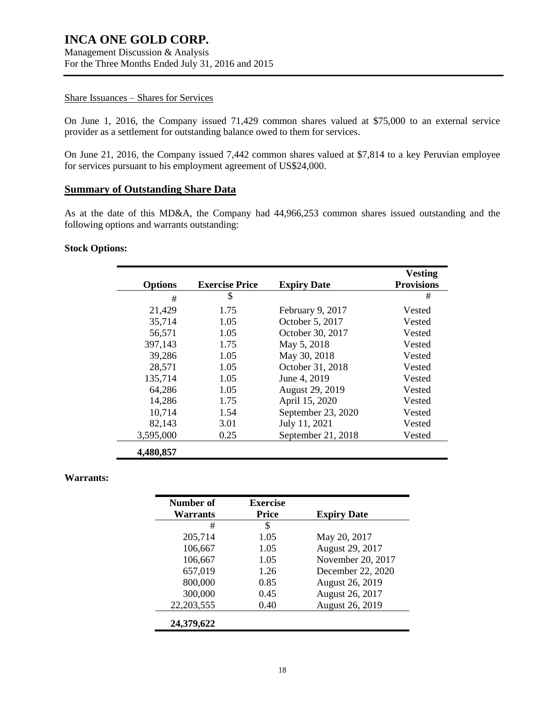Management Discussion & Analysis For the Three Months Ended July 31, 2016 and 2015

#### Share Issuances – Shares for Services

On June 1, 2016, the Company issued 71,429 common shares valued at \$75,000 to an external service provider as a settlement for outstanding balance owed to them for services.

On June 21, 2016, the Company issued 7,442 common shares valued at \$7,814 to a key Peruvian employee for services pursuant to his employment agreement of US\$24,000.

#### **Summary of Outstanding Share Data**

As at the date of this MD&A, the Company had 44,966,253 common shares issued outstanding and the following options and warrants outstanding:

#### **Stock Options:**

|                |                       |                    | <b>Vesting</b>    |
|----------------|-----------------------|--------------------|-------------------|
| <b>Options</b> | <b>Exercise Price</b> | <b>Expiry Date</b> | <b>Provisions</b> |
| #              | \$                    |                    | #                 |
| 21,429         | 1.75                  | February 9, 2017   | Vested            |
| 35,714         | 1.05                  | October 5, 2017    | Vested            |
| 56,571         | 1.05                  | October 30, 2017   | Vested            |
| 397,143        | 1.75                  | May 5, 2018        | Vested            |
| 39,286         | 1.05                  | May 30, 2018       | Vested            |
| 28,571         | 1.05                  | October 31, 2018   | Vested            |
| 135,714        | 1.05                  | June 4, 2019       | Vested            |
| 64,286         | 1.05                  | August 29, 2019    | Vested            |
| 14,286         | 1.75                  | April 15, 2020     | Vested            |
| 10,714         | 1.54                  | September 23, 2020 | Vested            |
| 82,143         | 3.01                  | July 11, 2021      | Vested            |
| 3,595,000      | 0.25                  | September 21, 2018 | Vested            |
| 4,480,857      |                       |                    |                   |

#### **Warrants:**

| Number of<br>Warrants | <b>Exercise</b><br><b>Price</b> | <b>Expiry Date</b> |
|-----------------------|---------------------------------|--------------------|
| #                     | \$                              |                    |
| 205,714               | 1.05                            | May 20, 2017       |
| 106,667               | 1.05                            | August 29, 2017    |
| 106,667               | 1.05                            | November 20, 2017  |
| 657,019               | 1.26                            | December 22, 2020  |
| 800,000               | 0.85                            | August 26, 2019    |
| 300,000               | 0.45                            | August 26, 2017    |
| 22, 203, 555          | 0.40                            | August 26, 2019    |
| 24,379,622            |                                 |                    |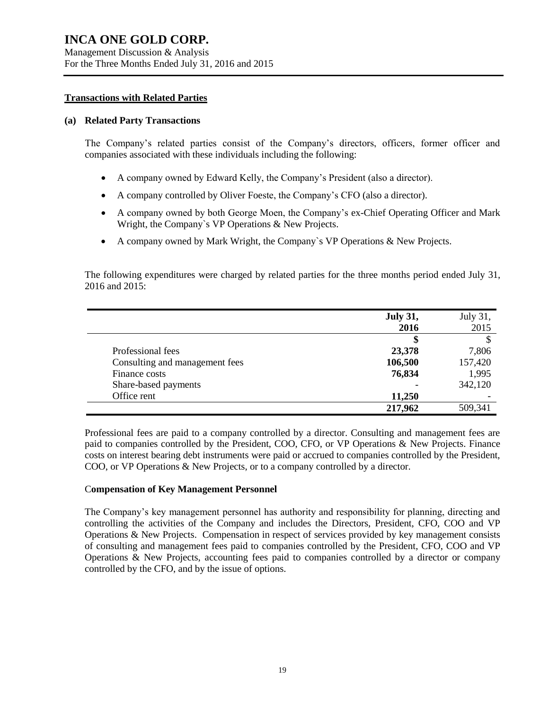#### **Transactions with Related Parties**

#### **(a) Related Party Transactions**

The Company's related parties consist of the Company's directors, officers, former officer and companies associated with these individuals including the following:

- A company owned by Edward Kelly, the Company's President (also a director).
- A company controlled by Oliver Foeste, the Company's CFO (also a director).
- A company owned by both George Moen, the Company's ex-Chief Operating Officer and Mark Wright, the Company`s VP Operations & New Projects.
- A company owned by Mark Wright, the Company`s VP Operations & New Projects.

The following expenditures were charged by related parties for the three months period ended July 31, 2016 and 2015:

|                                | <b>July 31,</b> | July 31, |
|--------------------------------|-----------------|----------|
|                                | 2016            | 2015     |
|                                | 5               |          |
| Professional fees              | 23,378          | 7,806    |
| Consulting and management fees | 106,500         | 157,420  |
| Finance costs                  | 76,834          | 1,995    |
| Share-based payments           |                 | 342,120  |
| Office rent                    | 11,250          |          |
|                                | 217,962         | 509,341  |

Professional fees are paid to a company controlled by a director. Consulting and management fees are paid to companies controlled by the President, COO, CFO, or VP Operations & New Projects. Finance costs on interest bearing debt instruments were paid or accrued to companies controlled by the President, COO, or VP Operations & New Projects, or to a company controlled by a director.

#### C**ompensation of Key Management Personnel**

The Company's key management personnel has authority and responsibility for planning, directing and controlling the activities of the Company and includes the Directors, President, CFO, COO and VP Operations & New Projects. Compensation in respect of services provided by key management consists of consulting and management fees paid to companies controlled by the President, CFO, COO and VP Operations & New Projects, accounting fees paid to companies controlled by a director or company controlled by the CFO, and by the issue of options.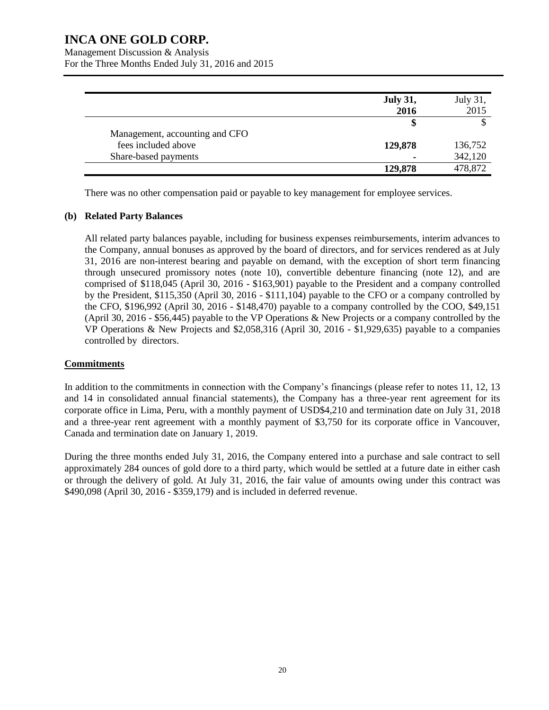Management Discussion & Analysis

For the Three Months Ended July 31, 2016 and 2015

|                                | <b>July 31,</b><br>2016 | July 31,<br>2015 |
|--------------------------------|-------------------------|------------------|
|                                | S                       |                  |
| Management, accounting and CFO |                         |                  |
| fees included above            | 129,878                 | 136,752          |
| Share-based payments           |                         | 342,120          |
|                                | 129,878                 | 478,872          |

There was no other compensation paid or payable to key management for employee services.

#### **(b) Related Party Balances**

All related party balances payable, including for business expenses reimbursements, interim advances to the Company, annual bonuses as approved by the board of directors, and for services rendered as at July 31, 2016 are non-interest bearing and payable on demand, with the exception of short term financing through unsecured promissory notes (note 10), convertible debenture financing (note 12), and are comprised of \$118,045 (April 30, 2016 - \$163,901) payable to the President and a company controlled by the President, \$115,350 (April 30, 2016 - \$111,104) payable to the CFO or a company controlled by the CFO, \$196,992 (April 30, 2016 - \$148,470) payable to a company controlled by the COO, \$49,151 (April 30, 2016 - \$56,445) payable to the VP Operations & New Projects or a company controlled by the VP Operations & New Projects and \$2,058,316 (April 30, 2016 - \$1,929,635) payable to a companies controlled by directors.

### **Commitments**

In addition to the commitments in connection with the Company's financings (please refer to notes 11, 12, 13 and 14 in consolidated annual financial statements), the Company has a three-year rent agreement for its corporate office in Lima, Peru, with a monthly payment of USD\$4,210 and termination date on July 31, 2018 and a three-year rent agreement with a monthly payment of \$3,750 for its corporate office in Vancouver, Canada and termination date on January 1, 2019.

During the three months ended July 31, 2016, the Company entered into a purchase and sale contract to sell approximately 284 ounces of gold dore to a third party, which would be settled at a future date in either cash or through the delivery of gold. At July 31, 2016, the fair value of amounts owing under this contract was \$490,098 (April 30, 2016 - \$359,179) and is included in deferred revenue.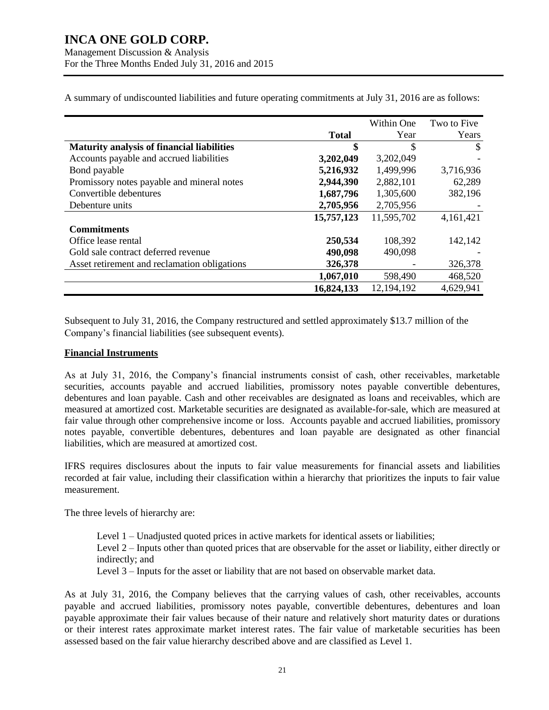Management Discussion & Analysis For the Three Months Ended July 31, 2016 and 2015

|                                                   |              | Within One | Two to Five |
|---------------------------------------------------|--------------|------------|-------------|
|                                                   | <b>Total</b> | Year       | Years       |
| <b>Maturity analysis of financial liabilities</b> | \$           | \$         | S           |
| Accounts payable and accrued liabilities          | 3,202,049    | 3,202,049  |             |
| Bond payable                                      | 5,216,932    | 1,499,996  | 3,716,936   |
| Promissory notes payable and mineral notes        | 2,944,390    | 2,882,101  | 62,289      |
| Convertible debentures                            | 1,687,796    | 1,305,600  | 382,196     |
| Debenture units                                   | 2,705,956    | 2,705,956  |             |
|                                                   | 15,757,123   | 11,595,702 | 4,161,421   |
| <b>Commitments</b>                                |              |            |             |
| Office lease rental                               | 250,534      | 108,392    | 142,142     |
| Gold sale contract deferred revenue               | 490,098      | 490,098    |             |
| Asset retirement and reclamation obligations      | 326,378      |            | 326,378     |
|                                                   | 1,067,010    | 598,490    | 468,520     |
|                                                   | 16,824,133   | 12,194,192 | 4,629,941   |

A summary of undiscounted liabilities and future operating commitments at July 31, 2016 are as follows:

Subsequent to July 31, 2016, the Company restructured and settled approximately \$13.7 million of the Company's financial liabilities (see subsequent events).

#### **Financial Instruments**

As at July 31, 2016, the Company's financial instruments consist of cash, other receivables, marketable securities, accounts payable and accrued liabilities, promissory notes payable convertible debentures, debentures and loan payable. Cash and other receivables are designated as loans and receivables, which are measured at amortized cost. Marketable securities are designated as available-for-sale, which are measured at fair value through other comprehensive income or loss. Accounts payable and accrued liabilities, promissory notes payable, convertible debentures, debentures and loan payable are designated as other financial liabilities, which are measured at amortized cost.

IFRS requires disclosures about the inputs to fair value measurements for financial assets and liabilities recorded at fair value, including their classification within a hierarchy that prioritizes the inputs to fair value measurement.

The three levels of hierarchy are:

Level 1 – Unadjusted quoted prices in active markets for identical assets or liabilities; Level 2 – Inputs other than quoted prices that are observable for the asset or liability, either directly or indirectly; and Level 3 – Inputs for the asset or liability that are not based on observable market data.

As at July 31, 2016, the Company believes that the carrying values of cash, other receivables, accounts payable and accrued liabilities, promissory notes payable, convertible debentures, debentures and loan payable approximate their fair values because of their nature and relatively short maturity dates or durations or their interest rates approximate market interest rates. The fair value of marketable securities has been assessed based on the fair value hierarchy described above and are classified as Level 1.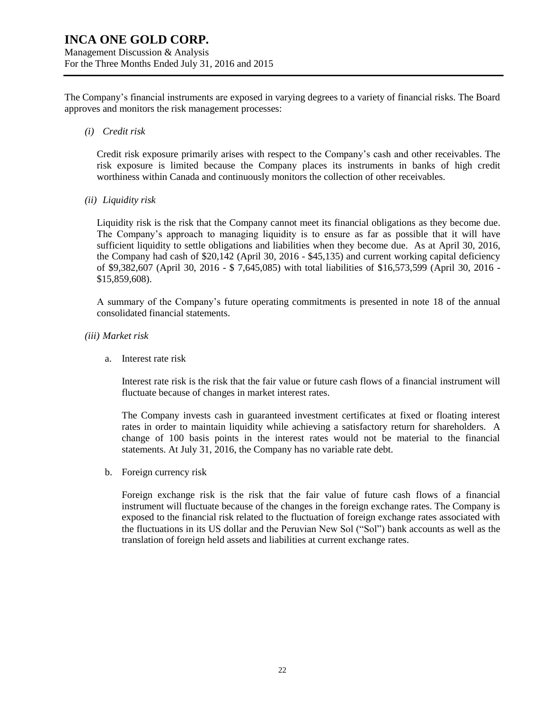The Company's financial instruments are exposed in varying degrees to a variety of financial risks. The Board approves and monitors the risk management processes:

*(i) Credit risk*

Credit risk exposure primarily arises with respect to the Company's cash and other receivables. The risk exposure is limited because the Company places its instruments in banks of high credit worthiness within Canada and continuously monitors the collection of other receivables.

*(ii) Liquidity risk*

Liquidity risk is the risk that the Company cannot meet its financial obligations as they become due. The Company's approach to managing liquidity is to ensure as far as possible that it will have sufficient liquidity to settle obligations and liabilities when they become due. As at April 30, 2016, the Company had cash of \$20,142 (April 30, 2016 - \$45,135) and current working capital deficiency of \$9,382,607 (April 30, 2016 - \$ 7,645,085) with total liabilities of \$16,573,599 (April 30, 2016 - \$15,859,608).

A summary of the Company's future operating commitments is presented in note 18 of the annual consolidated financial statements.

- *(iii) Market risk*
	- a. Interest rate risk

Interest rate risk is the risk that the fair value or future cash flows of a financial instrument will fluctuate because of changes in market interest rates.

The Company invests cash in guaranteed investment certificates at fixed or floating interest rates in order to maintain liquidity while achieving a satisfactory return for shareholders. A change of 100 basis points in the interest rates would not be material to the financial statements. At July 31, 2016, the Company has no variable rate debt.

b. Foreign currency risk

Foreign exchange risk is the risk that the fair value of future cash flows of a financial instrument will fluctuate because of the changes in the foreign exchange rates. The Company is exposed to the financial risk related to the fluctuation of foreign exchange rates associated with the fluctuations in its US dollar and the Peruvian New Sol ("Sol") bank accounts as well as the translation of foreign held assets and liabilities at current exchange rates.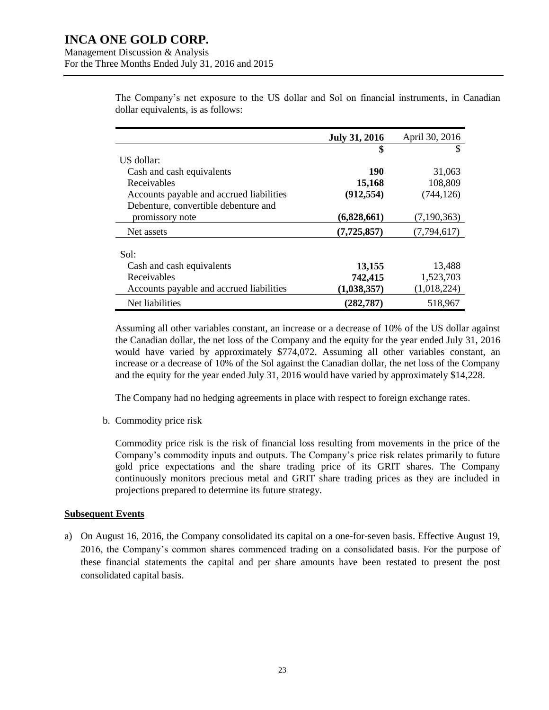|                                          | <b>July 31, 2016</b> | April 30, 2016 |
|------------------------------------------|----------------------|----------------|
|                                          | \$                   |                |
| US dollar:                               |                      |                |
| Cash and cash equivalents                | 190                  | 31,063         |
| Receivables                              | 15,168               | 108,809        |
| Accounts payable and accrued liabilities | (912, 554)           | (744, 126)     |
| Debenture, convertible debenture and     |                      |                |
| promissory note                          | (6,828,661)          | (7,190,363)    |
| Net assets                               | (7, 725, 857)        | (7,794,617)    |
|                                          |                      |                |
| Sol:                                     |                      |                |
| Cash and cash equivalents                | 13,155               | 13,488         |
| Receivables                              | 742,415              | 1,523,703      |
| Accounts payable and accrued liabilities | (1,038,357)          | (1,018,224)    |
| Net liabilities                          | (282, 787)           | 518,967        |

The Company's net exposure to the US dollar and Sol on financial instruments, in Canadian dollar equivalents, is as follows:

Assuming all other variables constant, an increase or a decrease of 10% of the US dollar against the Canadian dollar, the net loss of the Company and the equity for the year ended July 31, 2016 would have varied by approximately \$774,072. Assuming all other variables constant, an increase or a decrease of 10% of the Sol against the Canadian dollar, the net loss of the Company and the equity for the year ended July 31, 2016 would have varied by approximately \$14,228.

The Company had no hedging agreements in place with respect to foreign exchange rates.

b. Commodity price risk

Commodity price risk is the risk of financial loss resulting from movements in the price of the Company's commodity inputs and outputs. The Company's price risk relates primarily to future gold price expectations and the share trading price of its GRIT shares. The Company continuously monitors precious metal and GRIT share trading prices as they are included in projections prepared to determine its future strategy.

#### **Subsequent Events**

a) On August 16, 2016, the Company consolidated its capital on a one-for-seven basis. Effective August 19, 2016, the Company's common shares commenced trading on a consolidated basis. For the purpose of these financial statements the capital and per share amounts have been restated to present the post consolidated capital basis.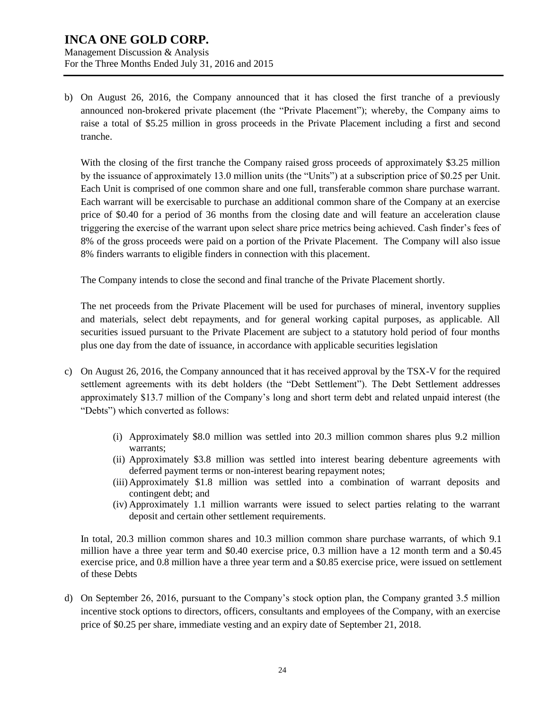Management Discussion & Analysis For the Three Months Ended July 31, 2016 and 2015

b) On August 26, 2016, the Company announced that it has closed the first tranche of a previously announced non-brokered private placement (the "Private Placement"); whereby, the Company aims to raise a total of \$5.25 million in gross proceeds in the Private Placement including a first and second tranche.

With the closing of the first tranche the Company raised gross proceeds of approximately \$3.25 million by the issuance of approximately 13.0 million units (the "Units") at a subscription price of \$0.25 per Unit. Each Unit is comprised of one common share and one full, transferable common share purchase warrant. Each warrant will be exercisable to purchase an additional common share of the Company at an exercise price of \$0.40 for a period of 36 months from the closing date and will feature an acceleration clause triggering the exercise of the warrant upon select share price metrics being achieved. Cash finder's fees of 8% of the gross proceeds were paid on a portion of the Private Placement. The Company will also issue 8% finders warrants to eligible finders in connection with this placement.

The Company intends to close the second and final tranche of the Private Placement shortly.

The net proceeds from the Private Placement will be used for purchases of mineral, inventory supplies and materials, select debt repayments, and for general working capital purposes, as applicable. All securities issued pursuant to the Private Placement are subject to a statutory hold period of four months plus one day from the date of issuance, in accordance with applicable securities legislation

- c) On August 26, 2016, the Company announced that it has received approval by the TSX-V for the required settlement agreements with its debt holders (the "Debt Settlement"). The Debt Settlement addresses approximately \$13.7 million of the Company's long and short term debt and related unpaid interest (the "Debts") which converted as follows:
	- (i) Approximately \$8.0 million was settled into 20.3 million common shares plus 9.2 million warrants;
	- (ii) Approximately \$3.8 million was settled into interest bearing debenture agreements with deferred payment terms or non-interest bearing repayment notes;
	- (iii)Approximately \$1.8 million was settled into a combination of warrant deposits and contingent debt; and
	- (iv) Approximately 1.1 million warrants were issued to select parties relating to the warrant deposit and certain other settlement requirements.

In total, 20.3 million common shares and 10.3 million common share purchase warrants, of which 9.1 million have a three year term and \$0.40 exercise price, 0.3 million have a 12 month term and a \$0.45 exercise price, and 0.8 million have a three year term and a \$0.85 exercise price, were issued on settlement of these Debts

d) On September 26, 2016, pursuant to the Company's stock option plan, the Company granted 3.5 million incentive stock options to directors, officers, consultants and employees of the Company, with an exercise price of \$0.25 per share, immediate vesting and an expiry date of September 21, 2018.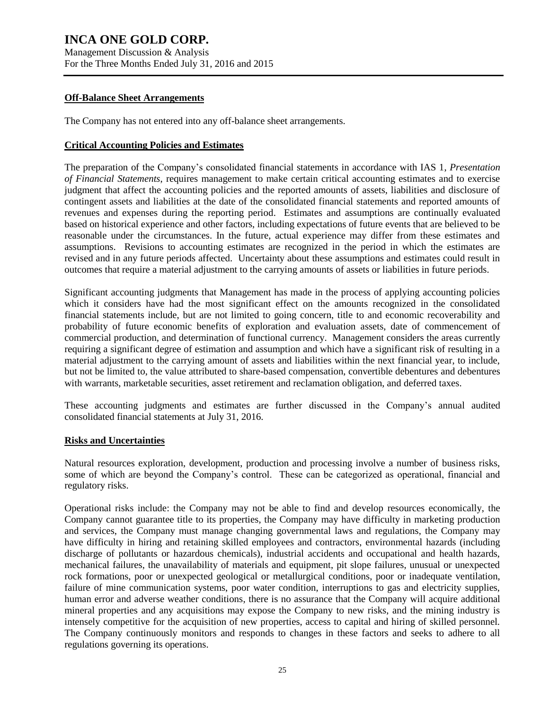Management Discussion & Analysis For the Three Months Ended July 31, 2016 and 2015

#### **Off-Balance Sheet Arrangements**

The Company has not entered into any off-balance sheet arrangements.

#### **Critical Accounting Policies and Estimates**

The preparation of the Company's consolidated financial statements in accordance with IAS 1, *Presentation of Financial Statements*, requires management to make certain critical accounting estimates and to exercise judgment that affect the accounting policies and the reported amounts of assets, liabilities and disclosure of contingent assets and liabilities at the date of the consolidated financial statements and reported amounts of revenues and expenses during the reporting period. Estimates and assumptions are continually evaluated based on historical experience and other factors, including expectations of future events that are believed to be reasonable under the circumstances. In the future, actual experience may differ from these estimates and assumptions. Revisions to accounting estimates are recognized in the period in which the estimates are revised and in any future periods affected. Uncertainty about these assumptions and estimates could result in outcomes that require a material adjustment to the carrying amounts of assets or liabilities in future periods.

Significant accounting judgments that Management has made in the process of applying accounting policies which it considers have had the most significant effect on the amounts recognized in the consolidated financial statements include, but are not limited to going concern, title to and economic recoverability and probability of future economic benefits of exploration and evaluation assets, date of commencement of commercial production, and determination of functional currency. Management considers the areas currently requiring a significant degree of estimation and assumption and which have a significant risk of resulting in a material adjustment to the carrying amount of assets and liabilities within the next financial year, to include, but not be limited to, the value attributed to share-based compensation, convertible debentures and debentures with warrants, marketable securities, asset retirement and reclamation obligation, and deferred taxes.

These accounting judgments and estimates are further discussed in the Company's annual audited consolidated financial statements at July 31, 2016.

#### **Risks and Uncertainties**

Natural resources exploration, development, production and processing involve a number of business risks, some of which are beyond the Company's control. These can be categorized as operational, financial and regulatory risks.

Operational risks include: the Company may not be able to find and develop resources economically, the Company cannot guarantee title to its properties, the Company may have difficulty in marketing production and services, the Company must manage changing governmental laws and regulations, the Company may have difficulty in hiring and retaining skilled employees and contractors, environmental hazards (including discharge of pollutants or hazardous chemicals), industrial accidents and occupational and health hazards, mechanical failures, the unavailability of materials and equipment, pit slope failures, unusual or unexpected rock formations, poor or unexpected geological or metallurgical conditions, poor or inadequate ventilation, failure of mine communication systems, poor water condition, interruptions to gas and electricity supplies, human error and adverse weather conditions, there is no assurance that the Company will acquire additional mineral properties and any acquisitions may expose the Company to new risks, and the mining industry is intensely competitive for the acquisition of new properties, access to capital and hiring of skilled personnel. The Company continuously monitors and responds to changes in these factors and seeks to adhere to all regulations governing its operations.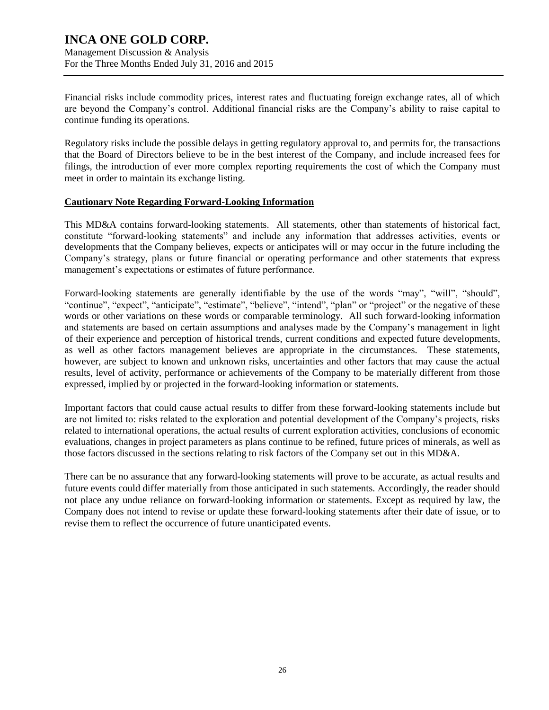### **INCA ONE GOLD CORP.** Management Discussion & Analysis

For the Three Months Ended July 31, 2016 and 2015

Financial risks include commodity prices, interest rates and fluctuating foreign exchange rates, all of which are beyond the Company's control. Additional financial risks are the Company's ability to raise capital to continue funding its operations.

Regulatory risks include the possible delays in getting regulatory approval to, and permits for, the transactions that the Board of Directors believe to be in the best interest of the Company, and include increased fees for filings, the introduction of ever more complex reporting requirements the cost of which the Company must meet in order to maintain its exchange listing.

### **Cautionary Note Regarding Forward-Looking Information**

This MD&A contains forward-looking statements. All statements, other than statements of historical fact, constitute "forward-looking statements" and include any information that addresses activities, events or developments that the Company believes, expects or anticipates will or may occur in the future including the Company's strategy, plans or future financial or operating performance and other statements that express management's expectations or estimates of future performance.

Forward-looking statements are generally identifiable by the use of the words "may", "will", "should", "continue", "expect", "anticipate", "estimate", "believe", "intend", "plan" or "project" or the negative of these words or other variations on these words or comparable terminology. All such forward-looking information and statements are based on certain assumptions and analyses made by the Company's management in light of their experience and perception of historical trends, current conditions and expected future developments, as well as other factors management believes are appropriate in the circumstances. These statements, however, are subject to known and unknown risks, uncertainties and other factors that may cause the actual results, level of activity, performance or achievements of the Company to be materially different from those expressed, implied by or projected in the forward-looking information or statements.

Important factors that could cause actual results to differ from these forward-looking statements include but are not limited to: risks related to the exploration and potential development of the Company's projects, risks related to international operations, the actual results of current exploration activities, conclusions of economic evaluations, changes in project parameters as plans continue to be refined, future prices of minerals, as well as those factors discussed in the sections relating to risk factors of the Company set out in this MD&A.

There can be no assurance that any forward-looking statements will prove to be accurate, as actual results and future events could differ materially from those anticipated in such statements. Accordingly, the reader should not place any undue reliance on forward-looking information or statements. Except as required by law, the Company does not intend to revise or update these forward-looking statements after their date of issue, or to revise them to reflect the occurrence of future unanticipated events.